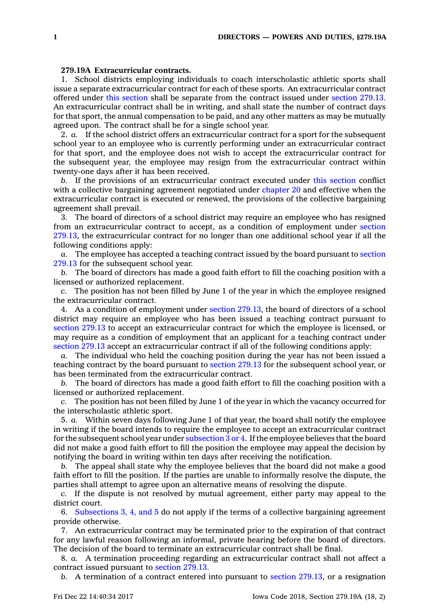## **279.19A Extracurricular contracts.**

1. School districts employing individuals to coach interscholastic athletic sports shall issue <sup>a</sup> separate extracurricular contract for each of these sports. An extracurricular contract offered under this [section](https://www.legis.iowa.gov/docs/code/279.19A.pdf) shall be separate from the contract issued under [section](https://www.legis.iowa.gov/docs/code/279.13.pdf) 279.13. An extracurricular contract shall be in writing, and shall state the number of contract days for that sport, the annual compensation to be paid, and any other matters as may be mutually agreed upon. The contract shall be for <sup>a</sup> single school year.

2. *a.* If the school district offers an extracurricular contract for <sup>a</sup> sport for the subsequent school year to an employee who is currently performing under an extracurricular contract for that sport, and the employee does not wish to accept the extracurricular contract for the subsequent year, the employee may resign from the extracurricular contract within twenty-one days after it has been received.

*b.* If the provisions of an extracurricular contract executed under this [section](https://www.legis.iowa.gov/docs/code/279.19A.pdf) conflict with <sup>a</sup> collective bargaining agreement negotiated under [chapter](https://www.legis.iowa.gov/docs/code//20.pdf) 20 and effective when the extracurricular contract is executed or renewed, the provisions of the collective bargaining agreement shall prevail.

3. The board of directors of <sup>a</sup> school district may require an employee who has resigned from an extracurricular contract to accept, as <sup>a</sup> condition of employment under [section](https://www.legis.iowa.gov/docs/code/279.13.pdf) [279.13](https://www.legis.iowa.gov/docs/code/279.13.pdf), the extracurricular contract for no longer than one additional school year if all the following conditions apply:

*a.* The employee has accepted <sup>a</sup> teaching contract issued by the board pursuant to [section](https://www.legis.iowa.gov/docs/code/279.13.pdf) [279.13](https://www.legis.iowa.gov/docs/code/279.13.pdf) for the subsequent school year.

*b.* The board of directors has made <sup>a</sup> good faith effort to fill the coaching position with <sup>a</sup> licensed or authorized replacement.

*c.* The position has not been filled by June 1 of the year in which the employee resigned the extracurricular contract.

4. As <sup>a</sup> condition of employment under section [279.13](https://www.legis.iowa.gov/docs/code/279.13.pdf), the board of directors of <sup>a</sup> school district may require an employee who has been issued <sup>a</sup> teaching contract pursuant to [section](https://www.legis.iowa.gov/docs/code/279.13.pdf) 279.13 to accept an extracurricular contract for which the employee is licensed, or may require as <sup>a</sup> condition of employment that an applicant for <sup>a</sup> teaching contract under [section](https://www.legis.iowa.gov/docs/code/279.13.pdf) 279.13 accept an extracurricular contract if all of the following conditions apply:

*a.* The individual who held the coaching position during the year has not been issued <sup>a</sup> teaching contract by the board pursuant to [section](https://www.legis.iowa.gov/docs/code/279.13.pdf) 279.13 for the subsequent school year, or has been terminated from the extracurricular contract.

*b.* The board of directors has made <sup>a</sup> good faith effort to fill the coaching position with <sup>a</sup> licensed or authorized replacement.

*c.* The position has not been filled by June 1 of the year in which the vacancy occurred for the interscholastic athletic sport.

5. *a.* Within seven days following June 1 of that year, the board shall notify the employee in writing if the board intends to require the employee to accept an extracurricular contract for the subsequent school year under [subsection](https://www.legis.iowa.gov/docs/code/279.19A.pdf) 3 or 4. If the employee believes that the board did not make <sup>a</sup> good faith effort to fill the position the employee may appeal the decision by notifying the board in writing within ten days after receiving the notification.

*b.* The appeal shall state why the employee believes that the board did not make <sup>a</sup> good faith effort to fill the position. If the parties are unable to informally resolve the dispute, the parties shall attempt to agree upon an alternative means of resolving the dispute.

*c.* If the dispute is not resolved by mutual agreement, either party may appeal to the district court.

6. [Subsections](https://www.legis.iowa.gov/docs/code/279.19A.pdf) 3, 4, and 5 do not apply if the terms of <sup>a</sup> collective bargaining agreement provide otherwise.

7. An extracurricular contract may be terminated prior to the expiration of that contract for any lawful reason following an informal, private hearing before the board of directors. The decision of the board to terminate an extracurricular contract shall be final.

8. *a.* A termination proceeding regarding an extracurricular contract shall not affect <sup>a</sup> contract issued pursuant to [section](https://www.legis.iowa.gov/docs/code/279.13.pdf) 279.13.

*b.* A termination of <sup>a</sup> contract entered into pursuant to section [279.13](https://www.legis.iowa.gov/docs/code/279.13.pdf), or <sup>a</sup> resignation